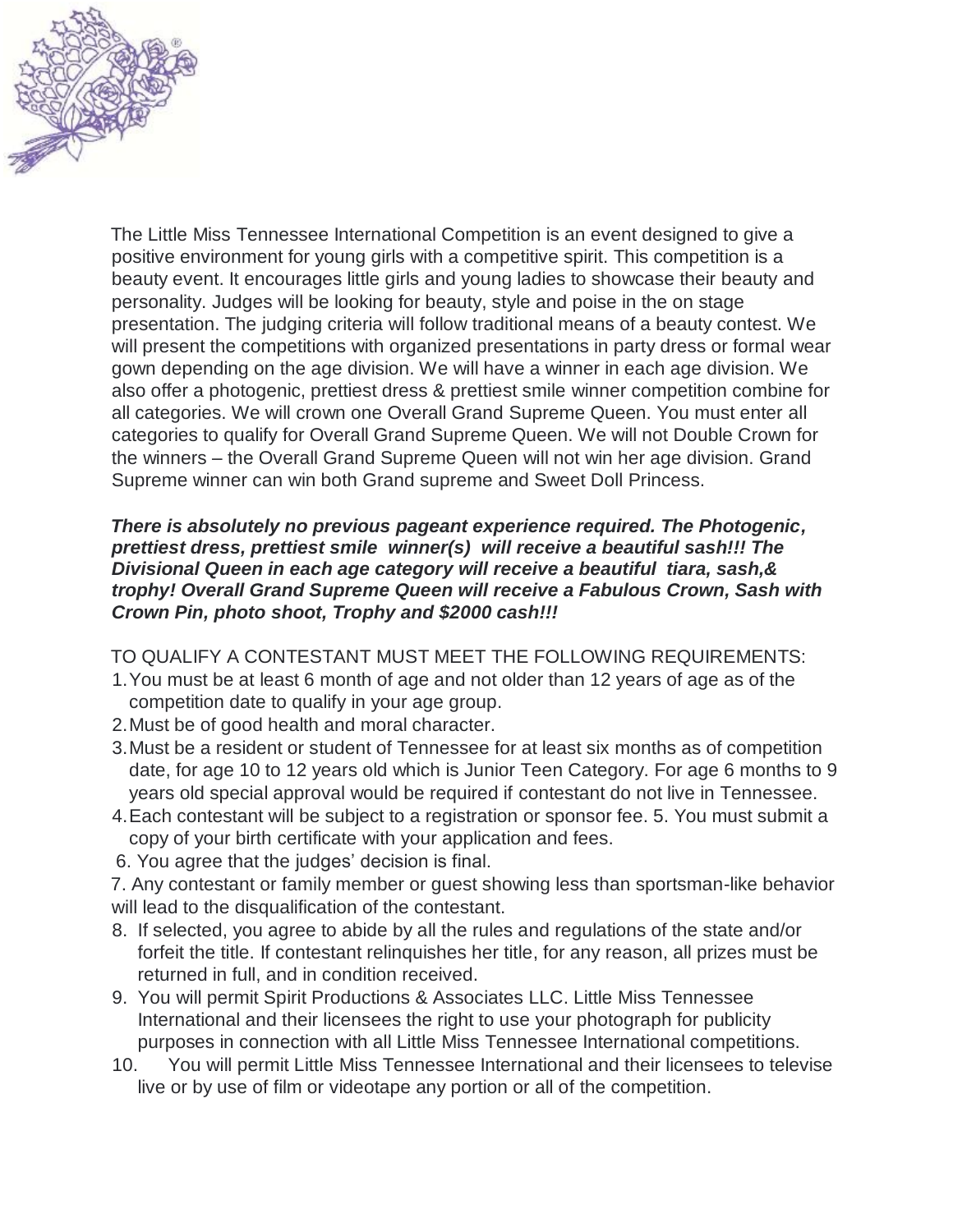

The Little Miss Tennessee International Competition is an event designed to give a positive environment for young girls with a competitive spirit. This competition is a beauty event. It encourages little girls and young ladies to showcase their beauty and personality. Judges will be looking for beauty, style and poise in the on stage presentation. The judging criteria will follow traditional means of a beauty contest. We will present the competitions with organized presentations in party dress or formal wear gown depending on the age division. We will have a winner in each age division. We also offer a photogenic, prettiest dress & prettiest smile winner competition combine for all categories. We will crown one Overall Grand Supreme Queen. You must enter all categories to qualify for Overall Grand Supreme Queen. We will not Double Crown for the winners – the Overall Grand Supreme Queen will not win her age division. Grand Supreme winner can win both Grand supreme and Sweet Doll Princess.

#### *There is absolutely no previous pageant experience required. The Photogenic, prettiest dress, prettiest smile winner(s) will receive a beautiful sash!!! The Divisional Queen in each age category will receive a beautiful tiara, sash,& trophy! Overall Grand Supreme Queen will receive a Fabulous Crown, Sash with Crown Pin, photo shoot, Trophy and \$2000 cash!!!*

TO QUALIFY A CONTESTANT MUST MEET THE FOLLOWING REQUIREMENTS:

- 1.You must be at least 6 month of age and not older than 12 years of age as of the competition date to qualify in your age group.
- 2.Must be of good health and moral character.
- 3.Must be a resident or student of Tennessee for at least six months as of competition date, for age 10 to 12 years old which is Junior Teen Category. For age 6 months to 9 years old special approval would be required if contestant do not live in Tennessee.
- 4.Each contestant will be subject to a registration or sponsor fee. 5. You must submit a copy of your birth certificate with your application and fees.
- 6. You agree that the judges' decision is final.

7. Any contestant or family member or guest showing less than sportsman-like behavior will lead to the disqualification of the contestant.

- 8. If selected, you agree to abide by all the rules and regulations of the state and/or forfeit the title. If contestant relinquishes her title, for any reason, all prizes must be returned in full, and in condition received.
- 9. You will permit Spirit Productions & Associates LLC. Little Miss Tennessee International and their licensees the right to use your photograph for publicity purposes in connection with all Little Miss Tennessee International competitions.
- 10. You will permit Little Miss Tennessee International and their licensees to televise live or by use of film or videotape any portion or all of the competition.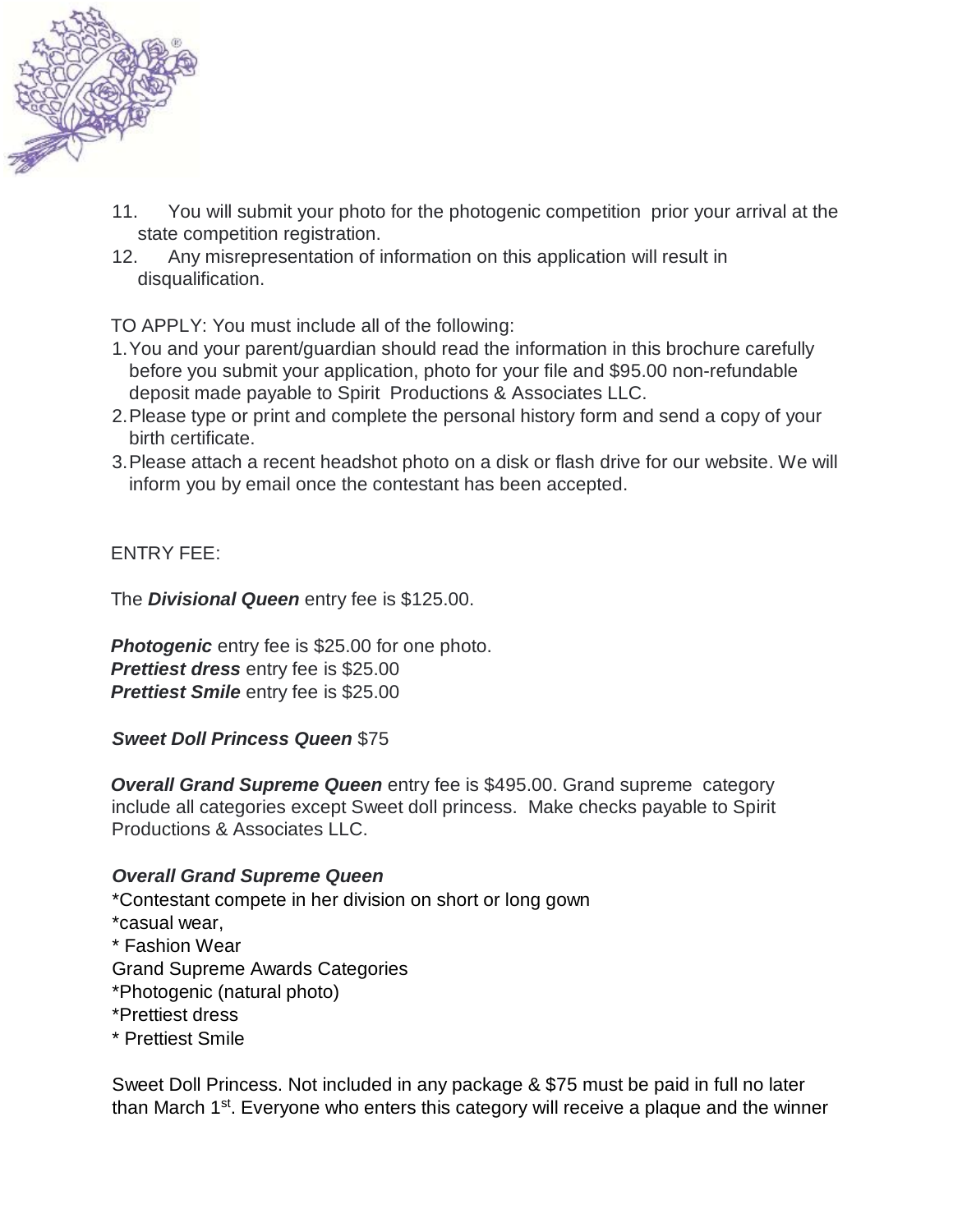

- 11. You will submit your photo for the photogenic competition prior your arrival at the state competition registration.
- 12. Any misrepresentation of information on this application will result in disqualification.

TO APPLY: You must include all of the following:

- 1.You and your parent/guardian should read the information in this brochure carefully before you submit your application, photo for your file and \$95.00 non-refundable deposit made payable to Spirit Productions & Associates LLC.
- 2.Please type or print and complete the personal history form and send a copy of your birth certificate.
- 3.Please attach a recent headshot photo on a disk or flash drive for our website. We will inform you by email once the contestant has been accepted.

# ENTRY FEE:

The *Divisional Queen* entry fee is \$125.00.

**Photogenic** entry fee is \$25.00 for one photo. *Prettiest dress* entry fee is \$25.00 *Prettiest Smile* entry fee is \$25.00

*Sweet Doll Princess Queen* \$75

**Overall Grand Supreme Queen** entry fee is \$495.00. Grand supreme category include all categories except Sweet doll princess. Make checks payable to Spirit Productions & Associates LLC.

### *Overall Grand Supreme Queen*

\*Contestant compete in her division on short or long gown \*casual wear, \* Fashion Wear Grand Supreme Awards Categories \*Photogenic (natural photo) \*Prettiest dress \* Prettiest Smile

Sweet Doll Princess. Not included in any package & \$75 must be paid in full no later than March 1<sup>st</sup>. Everyone who enters this category will receive a plaque and the winner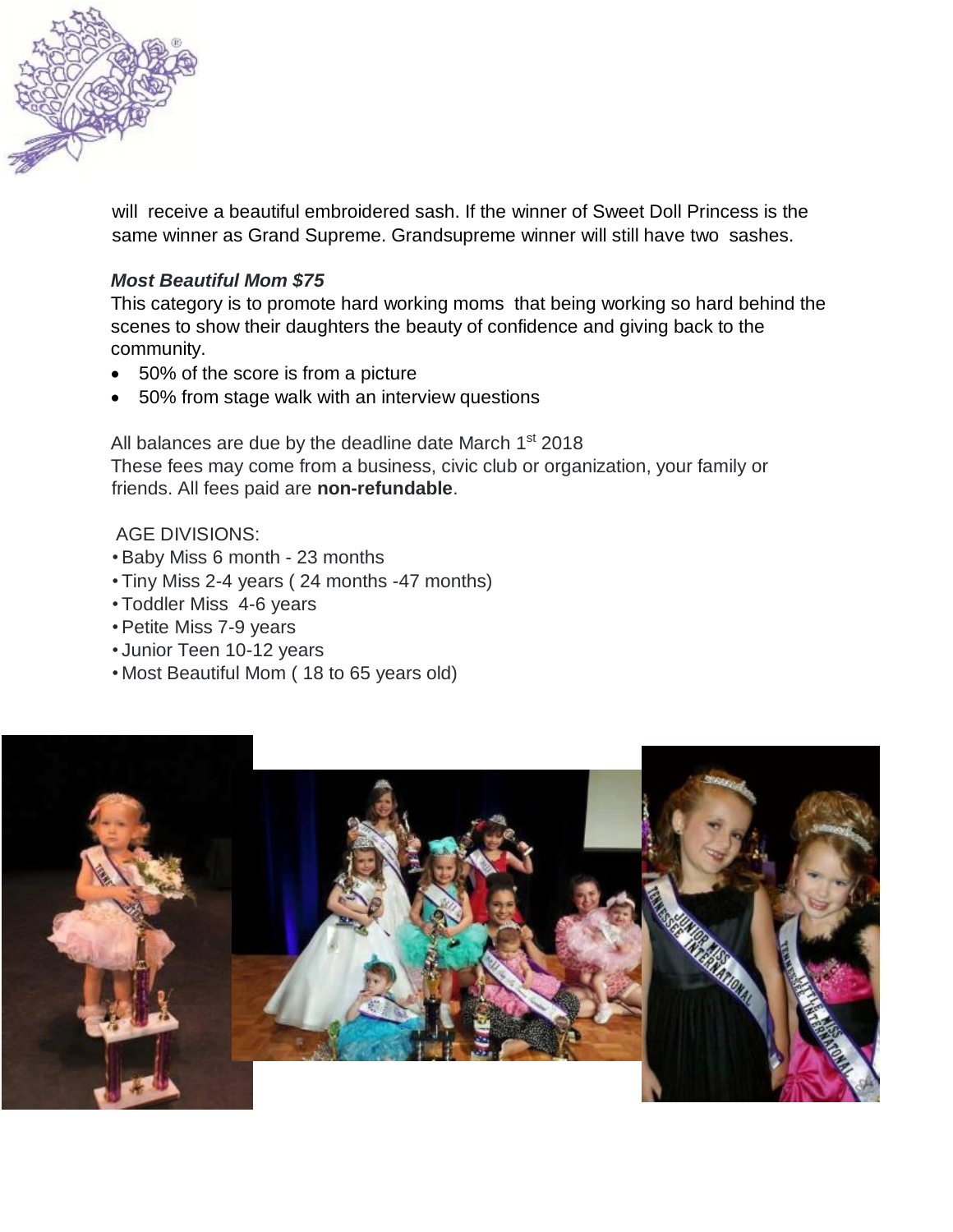

will receive a beautiful embroidered sash. If the winner of Sweet Doll Princess is the same winner as Grand Supreme. Grandsupreme winner will still have two sashes.

### *Most Beautiful Mom \$75*

This category is to promote hard working moms that being working so hard behind the scenes to show their daughters the beauty of confidence and giving back to the community.

- 50% of the score is from a picture
- 50% from stage walk with an interview questions

All balances are due by the deadline date March 1<sup>st</sup> 2018 These fees may come from a business, civic club or organization, your family or friends. All fees paid are **non-refundable**.

#### AGE DIVISIONS:

- Baby Miss 6 month 23 months
- Tiny Miss 2-4 years ( 24 months -47 months)
- Toddler Miss 4-6 years
- Petite Miss 7-9 years
- Junior Teen 10-12 years
- Most Beautiful Mom ( 18 to 65 years old)

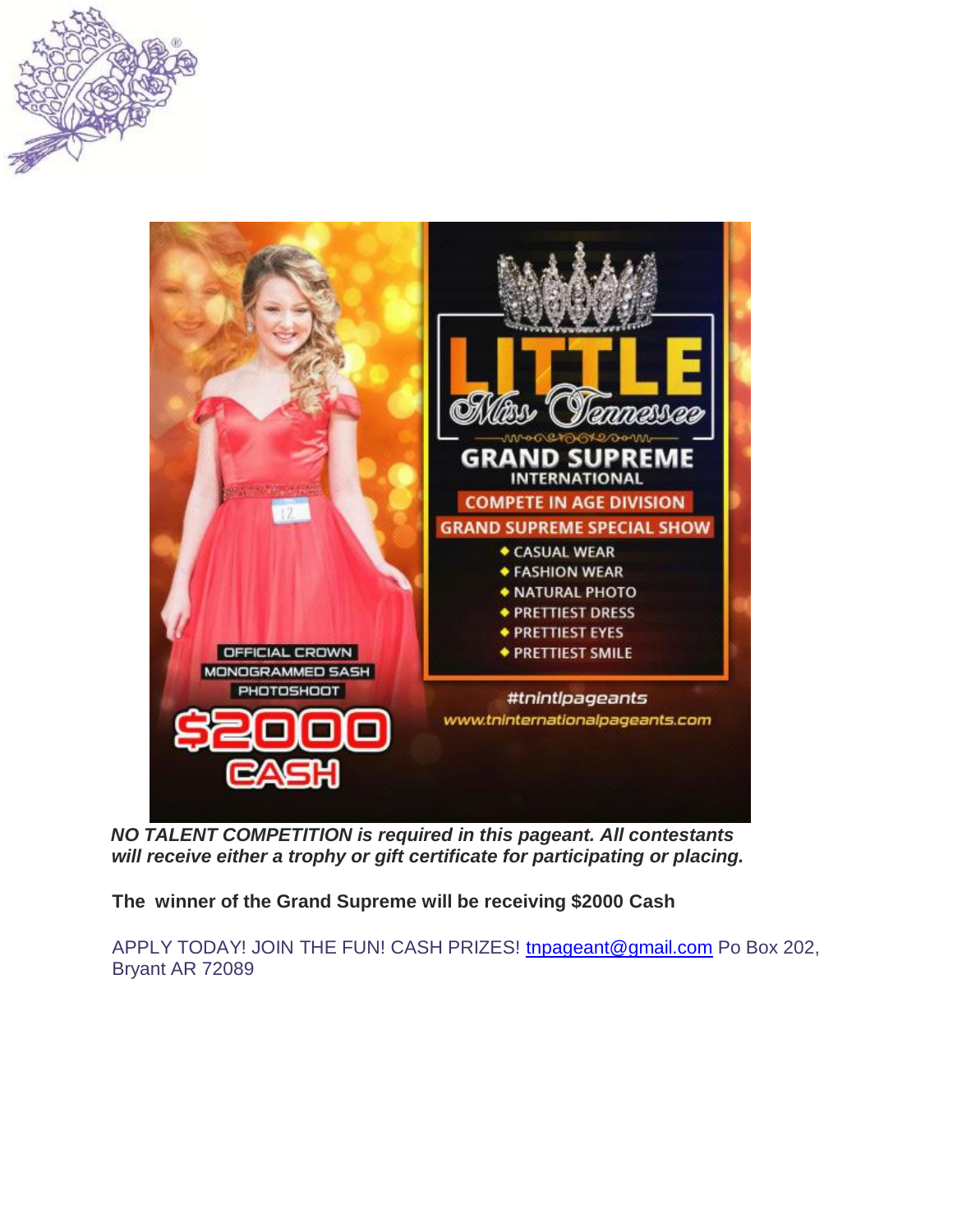



*NO TALENT COMPETITION is required in this pageant. All contestants will receive either a trophy or gift certificate for participating or placing.* 

**The winner of the Grand Supreme will be receiving \$2000 Cash**

APPLY TODAY! JOIN THE FUN! CASH PRIZES! tnpageant@gmail.com Po Box 202, Bryant AR 72089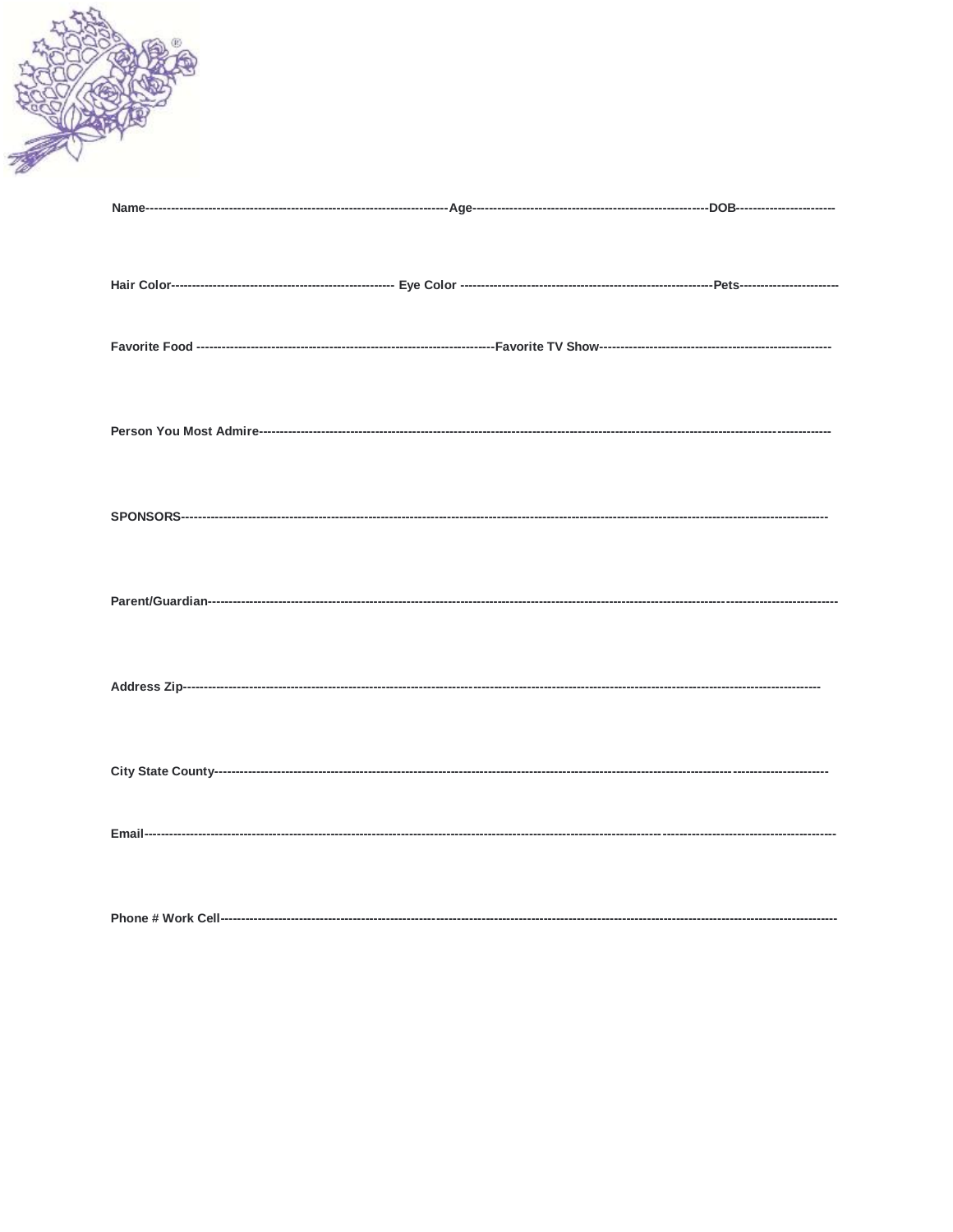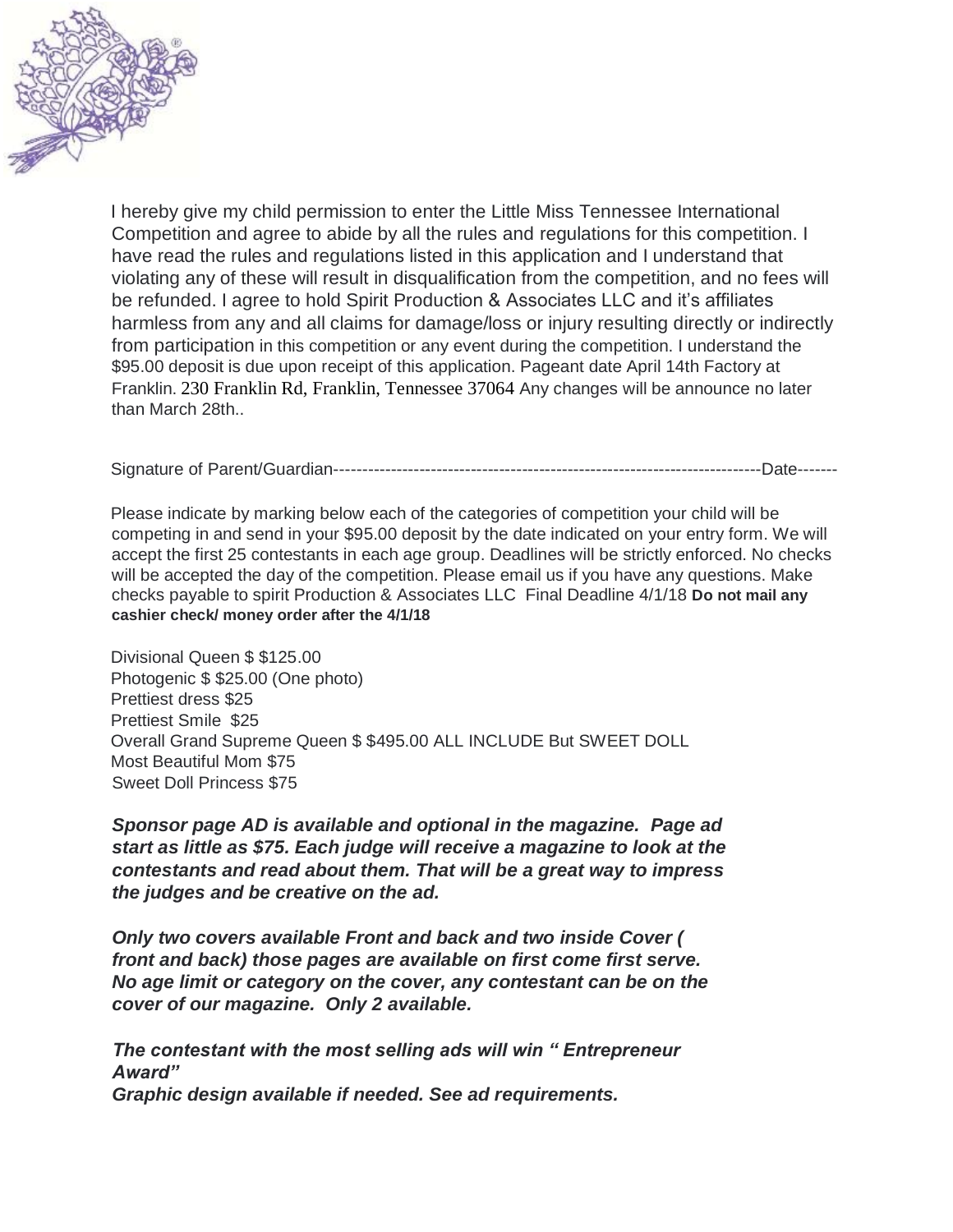

I hereby give my child permission to enter the Little Miss Tennessee International Competition and agree to abide by all the rules and regulations for this competition. I have read the rules and regulations listed in this application and I understand that violating any of these will result in disqualification from the competition, and no fees will be refunded. I agree to hold Spirit Production & Associates LLC and it's affiliates harmless from any and all claims for damage/loss or injury resulting directly or indirectly from participation in this competition or any event during the competition. I understand the \$95.00 deposit is due upon receipt of this application. Pageant date April 14th Factory at Franklin. 230 Franklin Rd, Franklin, Tennessee 37064 Any changes will be announce no later than March 28th..

Signature of Parent/Guardian---------------------------------------------------------------------------Date-------

Please indicate by marking below each of the categories of competition your child will be competing in and send in your \$95.00 deposit by the date indicated on your entry form. We will accept the first 25 contestants in each age group. Deadlines will be strictly enforced. No checks will be accepted the day of the competition. Please email us if you have any questions. Make checks payable to spirit Production & Associates LLC Final Deadline 4/1/18 **Do not mail any cashier check/ money order after the 4/1/18**

Divisional Queen \$ \$125.00 Photogenic \$ \$25.00 (One photo) Prettiest dress \$25 Prettiest Smile \$25 Overall Grand Supreme Queen \$ \$495.00 ALL INCLUDE But SWEET DOLL Most Beautiful Mom \$75 Sweet Doll Princess \$75

*Sponsor page AD is available and optional in the magazine. Page ad start as little as \$75. Each judge will receive a magazine to look at the contestants and read about them. That will be a great way to impress the judges and be creative on the ad.*

*Only two covers available Front and back and two inside Cover ( front and back) those pages are available on first come first serve. No age limit or category on the cover, any contestant can be on the cover of our magazine. Only 2 available.*

*The contestant with the most selling ads will win " Entrepreneur Award" Graphic design available if needed. See ad requirements.*